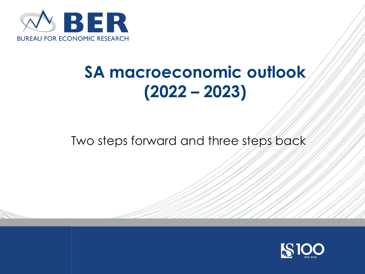

# **SA macroeconomic outlook (2022 – 2023)**

Two steps forward and three steps back

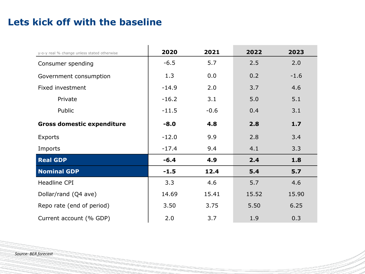#### **Lets kick off with the baseline**

| y-o-y real % change unless stated otherwise | 2020    | 2021   | 2022  | 2023   |
|---------------------------------------------|---------|--------|-------|--------|
| Consumer spending                           | $-6.5$  | 5.7    | 2.5   | 2.0    |
| Government consumption                      | 1.3     | 0.0    | 0.2   | $-1.6$ |
| Fixed investment                            | $-14.9$ | 2.0    | 3.7   | 4.6    |
| Private                                     | $-16.2$ | 3.1    | 5.0   | 5.1    |
| Public                                      | $-11.5$ | $-0.6$ | 0.4   | 3.1    |
| <b>Gross domestic expenditure</b>           | $-8.0$  | 4.8    | 2.8   | 1.7    |
| <b>Exports</b>                              | $-12.0$ | 9.9    | 2.8   | 3.4    |
| Imports                                     | $-17.4$ | 9.4    | 4.1   | 3.3    |
| <b>Real GDP</b>                             | $-6.4$  | 4.9    | 2.4   | 1.8    |
| <b>Nominal GDP</b>                          | $-1.5$  | 12.4   | 5.4   | 5.7    |
| Headline CPI                                | 3.3     | 4.6    | 5.7   | 4.6    |
| Dollar/rand (Q4 ave)                        | 14.69   | 15.41  | 15.52 | 15.90  |
| Repo rate (end of period)                   | 3.50    | 3.75   | 5.50  | 6.25   |
| Current account (% GDP)                     | 2.0     | 3.7    | 1.9   | 0.3    |

*Source: BER forecast*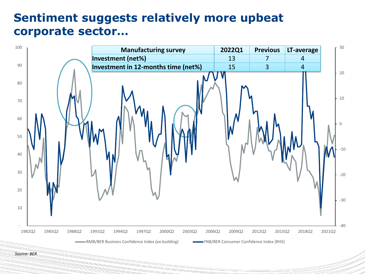# **Sentiment suggests relatively more upbeat corporate sector…**

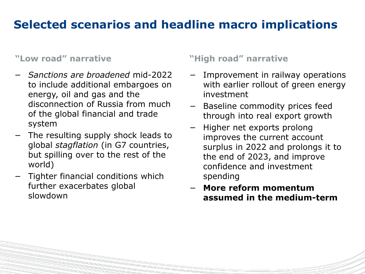# **Selected scenarios and headline macro implications**

#### **"Low road" narrative**

- − *Sanctions are broadened* mid-2022 to include additional embargoes on energy, oil and gas and the disconnection of Russia from much of the global financial and trade system
- − The resulting supply shock leads to global *stagflation* (in G7 countries, but spilling over to the rest of the world)
- − Tighter financial conditions which further exacerbates global slowdown

#### **"High road" narrative**

- − Improvement in railway operations with earlier rollout of green energy investment
- − Baseline commodity prices feed through into real export growth
- − Higher net exports prolong improves the current account surplus in 2022 and prolongs it to the end of 2023, and improve confidence and investment spending
- − **More reform momentum assumed in the medium-term**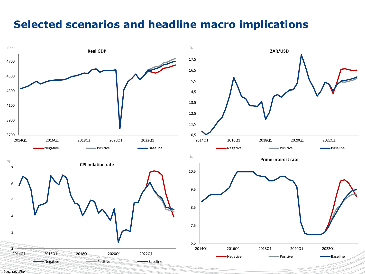### **Selected scenarios and headline macro implications**

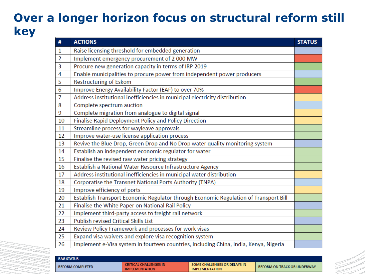# **Over a longer horizon focus on structural reform still key**

| #              | <b>ACTIONS</b>                                                                        | <b>STATUS</b> |
|----------------|---------------------------------------------------------------------------------------|---------------|
| $\mathbf{1}$   | Raise licensing threshold for embedded generation                                     |               |
| $\overline{2}$ | Implement emergency procurement of 2 000 MW                                           |               |
| 3              | Procure new generation capacity in terms of IRP 2019                                  |               |
| 4              | Enable municipalities to procure power from independent power producers               |               |
| 5              | <b>Restructuring of Eskom</b>                                                         |               |
| 6              | Improve Energy Availability Factor (EAF) to over 70%                                  |               |
| 7              | Address institutional inefficiencies in municipal electricity distribution            |               |
| 8              | Complete spectrum auction                                                             |               |
| 9              | Complete migration from analogue to digital signal                                    |               |
| 10             | Finalise Rapid Deployment Policy and Policy Direction                                 |               |
| 11             | Streamline process for wayleave approvals                                             |               |
| 12             | Improve water-use license application process                                         |               |
| 13             | Revive the Blue Drop, Green Drop and No Drop water quality monitoring system          |               |
| 14             | Establish an independent economic regulator for water                                 |               |
| 15             | Finalise the revised raw water pricing strategy                                       |               |
| 16             | Establish a National Water Resource Infrastructure Agency                             |               |
| 17             | Address institutional inefficiencies in municipal water distribution                  |               |
| 18             | Corporatise the Transnet National Ports Authority (TNPA)                              |               |
| 19             | Improve efficiency of ports                                                           |               |
| 20             | Establish Transport Economic Regulator through Economic Regulation of Transport Bill  |               |
| 21             | Finalise the White Paper on National Rail Policy                                      |               |
| 22             | Implement third-party access to freight rail network                                  |               |
| 23             | <b>Publish revised Critical Skills List</b>                                           |               |
| 24             | Review Policy Framework and processes for work visas                                  |               |
| 25             | Expand visa waivers and explore visa recognition system                               |               |
| 26             | Implement e-Visa system in fourteen countries, including China, India, Kenya, Nigeria |               |

| <b>RAG STATUS</b>       |                                                 |                                                       |                                    |
|-------------------------|-------------------------------------------------|-------------------------------------------------------|------------------------------------|
| <b>REFORM COMPLETED</b> | CRITICAL CHALLENGES IN<br><b>IMPLEMENTATION</b> | SOME CHALLENGES OR DELAYS IN<br><b>IMPLEMENTATION</b> | <b>REFORM ON TRACK OR UNDERWAY</b> |